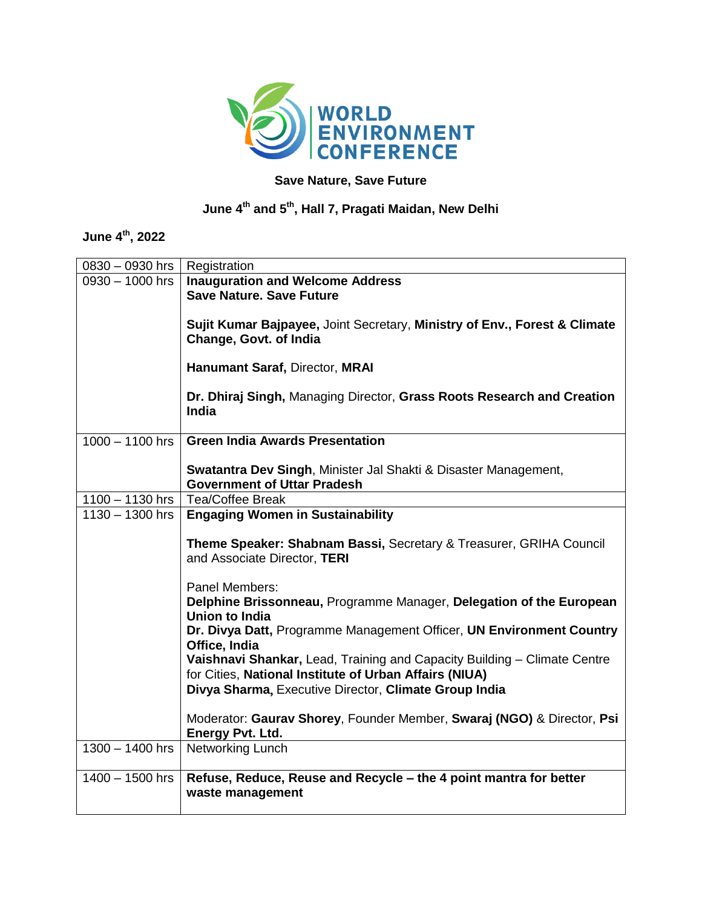

## **Save Nature, Save Future**

## **June 4 th and 5 th , Hall 7, Pragati Maidan, New Delhi**

## **June 4 th, 2022**

| 0830 - 0930 hrs   | Registration                                                                                                                                                                                |
|-------------------|---------------------------------------------------------------------------------------------------------------------------------------------------------------------------------------------|
| $0930 - 1000$ hrs | <b>Inauguration and Welcome Address</b><br><b>Save Nature, Save Future</b>                                                                                                                  |
|                   | Sujit Kumar Bajpayee, Joint Secretary, Ministry of Env., Forest & Climate<br>Change, Govt. of India                                                                                         |
|                   | Hanumant Saraf, Director, MRAI                                                                                                                                                              |
|                   | Dr. Dhiraj Singh, Managing Director, Grass Roots Research and Creation<br><b>India</b>                                                                                                      |
| $1000 - 1100$ hrs | <b>Green India Awards Presentation</b>                                                                                                                                                      |
|                   | Swatantra Dev Singh, Minister Jal Shakti & Disaster Management,<br><b>Government of Uttar Pradesh</b>                                                                                       |
| $1100 - 1130$ hrs | <b>Tea/Coffee Break</b>                                                                                                                                                                     |
| $1130 - 1300$ hrs | <b>Engaging Women in Sustainability</b>                                                                                                                                                     |
|                   | Theme Speaker: Shabnam Bassi, Secretary & Treasurer, GRIHA Council<br>and Associate Director, TERI                                                                                          |
|                   | Panel Members:                                                                                                                                                                              |
|                   | Delphine Brissonneau, Programme Manager, Delegation of the European<br><b>Union to India</b>                                                                                                |
|                   | Dr. Divya Datt, Programme Management Officer, UN Environment Country<br>Office, India                                                                                                       |
|                   | Vaishnavi Shankar, Lead, Training and Capacity Building - Climate Centre<br>for Cities, National Institute of Urban Affairs (NIUA)<br>Divya Sharma, Executive Director, Climate Group India |
|                   | Moderator: Gaurav Shorey, Founder Member, Swaraj (NGO) & Director, Psi<br>Energy Pvt. Ltd.                                                                                                  |
| $1300 - 1400$ hrs | <b>Networking Lunch</b>                                                                                                                                                                     |
| $1400 - 1500$ hrs | Refuse, Reduce, Reuse and Recycle - the 4 point mantra for better<br>waste management                                                                                                       |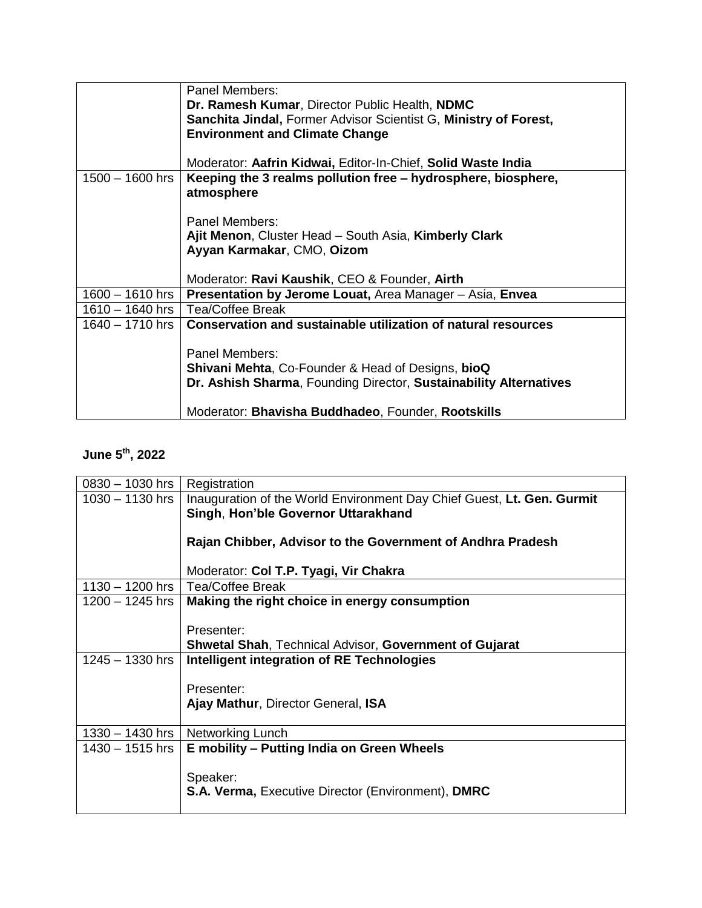|                   | Panel Members:                                                                                                                    |
|-------------------|-----------------------------------------------------------------------------------------------------------------------------------|
|                   | Dr. Ramesh Kumar, Director Public Health, NDMC                                                                                    |
|                   | Sanchita Jindal, Former Advisor Scientist G, Ministry of Forest,                                                                  |
|                   | <b>Environment and Climate Change</b>                                                                                             |
|                   |                                                                                                                                   |
|                   | Moderator: Aafrin Kidwai, Editor-In-Chief, Solid Waste India                                                                      |
| $1500 - 1600$ hrs | Keeping the 3 realms pollution free – hydrosphere, biosphere,                                                                     |
|                   | atmosphere                                                                                                                        |
|                   |                                                                                                                                   |
|                   | Panel Members:                                                                                                                    |
|                   | Ajit Menon, Cluster Head - South Asia, Kimberly Clark                                                                             |
|                   | Ayyan Karmakar, CMO, Oizom                                                                                                        |
|                   |                                                                                                                                   |
|                   | Moderator: Ravi Kaushik, CEO & Founder, Airth                                                                                     |
| 1600 – 1610 hrs   | Presentation by Jerome Louat, Area Manager - Asia, Envea                                                                          |
| $1610 - 1640$ hrs | Tea/Coffee Break                                                                                                                  |
| $1640 - 1710$ hrs | Conservation and sustainable utilization of natural resources                                                                     |
|                   |                                                                                                                                   |
|                   | Panel Members:                                                                                                                    |
|                   |                                                                                                                                   |
|                   |                                                                                                                                   |
|                   |                                                                                                                                   |
|                   | Moderator: Bhavisha Buddhadeo, Founder, Rootskills                                                                                |
|                   | <b>Shivani Mehta, Co-Founder &amp; Head of Designs, bioQ</b><br>Dr. Ashish Sharma, Founding Director, Sustainability Alternatives |

## **June 5 th, 2022**

| $0830 - 1030$ hrs | Registration                                                           |
|-------------------|------------------------------------------------------------------------|
| $1030 - 1130$ hrs | Inauguration of the World Environment Day Chief Guest, Lt. Gen. Gurmit |
|                   | Singh, Hon'ble Governor Uttarakhand                                    |
|                   |                                                                        |
|                   | Rajan Chibber, Advisor to the Government of Andhra Pradesh             |
|                   |                                                                        |
|                   |                                                                        |
|                   | Moderator: Col T.P. Tyagi, Vir Chakra                                  |
| 1130 - 1200 hrs   | <b>Tea/Coffee Break</b>                                                |
| 1200 - 1245 hrs   | Making the right choice in energy consumption                          |
|                   |                                                                        |
|                   | Presenter:                                                             |
|                   | <b>Shwetal Shah, Technical Advisor, Government of Gujarat</b>          |
| $1245 - 1330$ hrs | Intelligent integration of RE Technologies                             |
|                   |                                                                        |
|                   |                                                                        |
|                   | Presenter:                                                             |
|                   | Ajay Mathur, Director General, ISA                                     |
|                   |                                                                        |
| $1330 - 1430$ hrs | Networking Lunch                                                       |
| $1430 - 1515$ hrs | E mobility – Putting India on Green Wheels                             |
|                   |                                                                        |
|                   | Speaker:                                                               |
|                   | <b>S.A. Verma, Executive Director (Environment), DMRC</b>              |
|                   |                                                                        |
|                   |                                                                        |